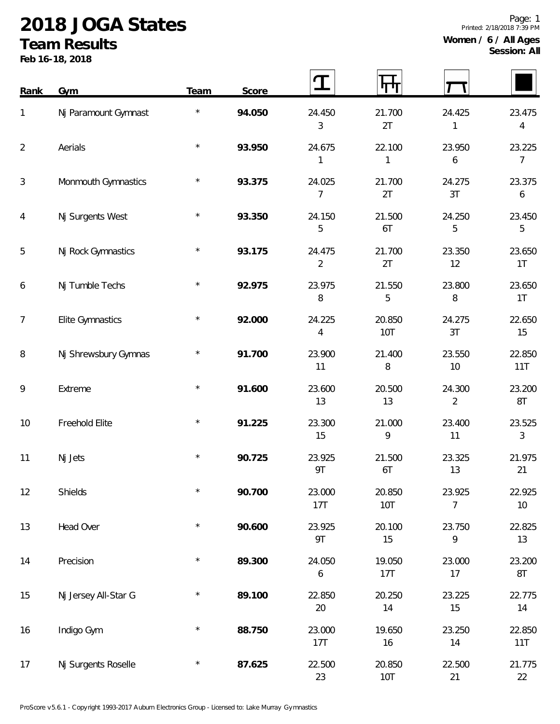## **2018 JOGA States**

## **Team Results**

**Feb 16-18, 2018**

| Rank           | Gym                     | Team       | Score  |                            |                      |                          |               |
|----------------|-------------------------|------------|--------|----------------------------|----------------------|--------------------------|---------------|
| 1              | Nj Paramount Gymnast    | $\star$    | 94.050 | 24.450<br>3                | 21.700<br>2T         | 24.425<br>1              | 23.475<br>4   |
| $\overline{2}$ | Aerials                 | $\star$    | 93.950 | 24.675<br>1                | 22.100<br>1          | 23.950<br>6              | 23.225<br>7   |
| 3              | Monmouth Gymnastics     | $\star$    | 93.375 | 24.025<br>$\overline{7}$   | 21.700<br>2T         | 24.275<br>3T             | 23.375<br>6   |
| 4              | Nj Surgents West        |            | 93.350 | 24.150<br>5                | 21.500<br>6T         | 24.250<br>5              | 23.450<br>5   |
| 5              | Nj Rock Gymnastics      | $\star$    | 93.175 | 24.475<br>$\overline{2}$   | 21.700<br>2T         | 23.350<br>12             | 23.650<br>1T  |
| 6              | Nj Tumble Techs         | $\star$    | 92.975 | 23.975<br>8                | 21.550<br>5          | 23.800<br>8              | 23.650<br>1T  |
| 7              | <b>Elite Gymnastics</b> | $\star$    | 92.000 | 24.225<br>$\overline{4}$   | 20.850<br><b>10T</b> | 24.275<br>3T             | 22.650<br>15  |
| 8              | Nj Shrewsbury Gymnas    | $^{\star}$ | 91.700 | 23.900<br>11               | 21.400<br>$\, 8$     | 23.550<br>10             | 22.850<br>11T |
| 9              | Extreme                 | $\star$    | 91.600 | 23.600<br>13               | 20.500<br>13         | 24.300<br>$\overline{2}$ | 23.200<br>8T  |
| 10             | Freehold Elite          | $\star$    | 91.225 | 23.300<br>15               | 21.000<br>9          | 23.400<br>11             | 23.525<br>3   |
| 11             | Nj Jets                 | $\star$    | 90.725 | 23.925<br>9T               | 21.500<br>6T         | 23.325<br>13             | 21.975<br>21  |
| 12             | Shields                 | $\star$    | 90.700 | 23.000<br>17T              | 20.850<br>10T        | 23.925<br>7              | 22.925<br>10  |
| 13             | Head Over               | $\star$    | 90.600 | 23.925<br>9T               | 20.100<br>15         | 23.750<br>9              | 22.825<br>13  |
| 14             | Precision               | $\star$    | 89.300 | 24.050<br>$\boldsymbol{6}$ | 19.050<br>17T        | 23.000<br>17             | 23.200<br>8T  |
| 15             | Nj Jersey All-Star G    | $\star$    | 89.100 | 22.850<br>20               | 20.250<br>14         | 23.225<br>15             | 22.775<br>14  |
| 16             | Indigo Gym              | $\star$    | 88.750 | 23.000<br>17T              | 19.650<br>16         | 23.250<br>14             | 22.850<br>11T |
| 17             | Nj Surgents Roselle     | $\star$    | 87.625 | 22.500<br>23               | 20.850<br>10T        | 22.500<br>21             | 21.775<br>22  |